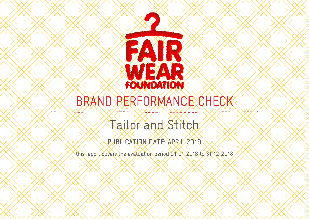

# BRAND PERFORMANCE CHECK

## Tailor and Stitch

## PUBLICATION DATE: APRIL 2019

this report covers the evaluation period 01-01-2018 to 31-12-2018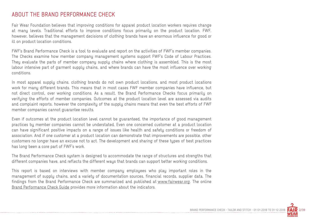#### ABOUT THE BRAND PERFORMANCE CHECK

Fair Wear Foundation believes that improving conditions for apparel product location workers requires change at many levels. Traditional efforts to improve conditions focus primarily on the product location. FWF, however, believes that the management decisions of clothing brands have an enormous influence for good or ill on product location conditions.

FWF's Brand Performance Check is a tool to evaluate and report on the activities of FWF's member companies. The Checks examine how member company management systems support FWF's Code of Labour Practices. They evaluate the parts of member company supply chains where clothing is assembled. This is the most labour intensive part of garment supply chains, and where brands can have the most influence over working conditions.

In most apparel supply chains, clothing brands do not own product locations, and most product locations work for many different brands. This means that in most cases FWF member companies have influence, but not direct control, over working conditions. As a result, the Brand Performance Checks focus primarily on verifying the efforts of member companies. Outcomes at the product location level are assessed via audits and complaint reports, however the complexity of the supply chains means that even the best efforts of FWF member companies cannot guarantee results.

Even if outcomes at the product location level cannot be guaranteed, the importance of good management practices by member companies cannot be understated. Even one concerned customer at a product location can have significant positive impacts on a range of issues like health and safety conditions or freedom of association. And if one customer at a product location can demonstrate that improvements are possible, other customers no longer have an excuse not to act. The development and sharing of these types of best practices has long been a core part of FWF's work.

The Brand Performance Check system is designed to accommodate the range of structures and strengths that different companies have, and reflects the different ways that brands can support better working conditions.

This report is based on interviews with member company employees who play important roles in the management of supply chains, and a variety of documentation sources, financial records, supplier data. The findings from the Brand Performance Check are summarized and published at www.fairwear.org. The online Brand Performance Check Guide provides more information about the indicators.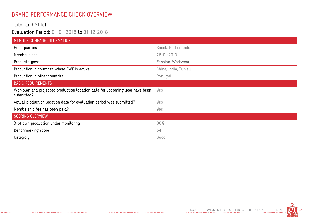#### BRAND PERFORMANCE CHECK OVERVIEW

#### Tailor and Stitch

#### Evaluation Period: 01-01-2018 to 31-12-2018

-----------------------------

| MEMBER COMPANY INFORMATION                                                                |                      |
|-------------------------------------------------------------------------------------------|----------------------|
| Headquarters:                                                                             | Sneek, Netherlands   |
| Member since:                                                                             | 28-01-2013           |
| Product types:                                                                            | Fashion, Workwear    |
| Production in countries where FWF is active:                                              | China, India, Turkey |
| Production in other countries:                                                            | Portugal             |
| <b>BASIC REQUIREMENTS</b>                                                                 |                      |
| Workplan and projected production location data for upcoming year have been<br>submitted? | Yes                  |
| Actual production location data for evaluation period was submitted?                      | Yes                  |
| Membership fee has been paid?                                                             | Yes                  |
| <b>SCORING OVERVIEW</b>                                                                   |                      |
| % of own production under monitoring                                                      | 96%                  |
| Benchmarking score                                                                        | 54                   |
| Category                                                                                  | Good                 |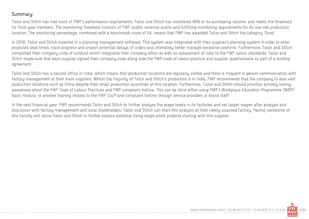#### Summary:

Tailor and Stitch has met most of FWF's performance requirements. Tailor and Stitch has monitored 96% of its purchasing volume, and meets the threshold for third-year members. The monitoring threshold consists of FWF audits, external audits and fulfilling monitoring requirements for its low-risk production location. The monitoring percentage, combined with a benchmark score of 54, means that FWF has awarded Tailor and Stitch the category 'Good'.

In 2018, Tailor and Stitch invested in a planning management software. This system was integrated with their supplier's planning system in order to enter projected lead times, track progress and project potential delays of orders and ultimately better manage excessive overtime. Furthermore, Tailor and Stitch completed their company code of conduct which integrates their company ethos as well as assessment of risks to the FWF labour standards. Tailor and Stitch made sure that each supplier signed their company code along side the FWF code of labour practice and supplier questionnaire as part of a binding agreement.

Tailor and Stitch has a second office in India, which means that production locations are regularly visited and there is frequent in person communication with factory management at their main suppliers. Whilst the majority of Tailor and Stitch's production is in India, FWF recommends that the company to also visit production locations such as China despite their small production quantities at this location. Furthermore, Tailor and Stitch should prioritise actively raising awareness about the FWF Code of Labour Practices and FWF complaint hotline. This can be done either using FWF's Workplace Education Programme (WEP) basic module, or another training related to the FWF CoLP and complaint hotline through service providers or brand staff.

In the next financial year, FWF recommends Tailor and Stitch to further analyse the wage levels in its factories and set target wages after analysis and discussion with factory management and local stakeholders. Tailor and Stitch can start this analysis at their newly acquired factory. Having ownership of this facility will allow Tailor and Stitch to further explore potential living wage pilots projects starting with this supplier.

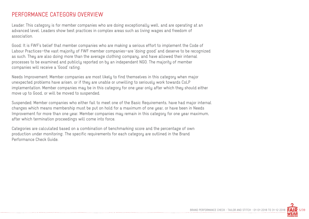#### PERFORMANCE CATEGORY OVERVIEW

Leader: This category is for member companies who are doing exceptionally well, and are operating at an advanced level. Leaders show best practices in complex areas such as living wages and freedom of association.

Good: It is FWF's belief that member companies who are making a serious effort to implement the Code of Labour Practices—the vast majority of FWF member companies—are 'doing good' and deserve to be recognized as such. They are also doing more than the average clothing company, and have allowed their internal processes to be examined and publicly reported on by an independent NGO. The majority of member companies will receive a 'Good' rating.

Needs Improvement: Member companies are most likely to find themselves in this category when major unexpected problems have arisen, or if they are unable or unwilling to seriously work towards CoLP implementation. Member companies may be in this category for one year only after which they should either move up to Good, or will be moved to suspended.

Suspended: Member companies who either fail to meet one of the Basic Requirements, have had major internal changes which means membership must be put on hold for a maximum of one year, or have been in Needs Improvement for more than one year. Member companies may remain in this category for one year maximum, after which termination proceedings will come into force.

Categories are calculated based on a combination of benchmarking score and the percentage of own production under monitoring. The specific requirements for each category are outlined in the Brand Performance Check Guide.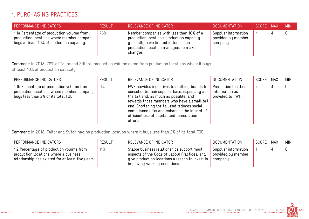#### 1. PURCHASING PRACTICES

| PERFORMANCE INDICATORS                                                                                                              | <b>RESULT</b> | RELEVANCE OF INDICATOR                                                                                                                                                           | <b>DOCUMENTATION</b>                                   | SCORE MAX | <b>MIN</b> |
|-------------------------------------------------------------------------------------------------------------------------------------|---------------|----------------------------------------------------------------------------------------------------------------------------------------------------------------------------------|--------------------------------------------------------|-----------|------------|
| 1.1a Percentage of production volume from<br>production locations where member company<br>buys at least 10% of production capacity. | 76%           | Member companies with less than 10% of a<br>production location's production capacity<br>generally have limited influence on<br>production location managers to make<br>changes. | Supplier information<br>provided by member<br>company. | 4         |            |

Comment: In 2018, 76% of Tailor and Stitch's production volume came from production locations where it buys at least 10% of production capacity.

| PERFORMANCE INDICATORS                                                                                                        | <b>RESULT</b> | RELEVANCE OF INDICATOR                                                                                                                                                                                                                                                                                                                         | <b>DOCUMENTATION</b>                                      | SCORE | MAX | <b>MIN</b> |
|-------------------------------------------------------------------------------------------------------------------------------|---------------|------------------------------------------------------------------------------------------------------------------------------------------------------------------------------------------------------------------------------------------------------------------------------------------------------------------------------------------------|-----------------------------------------------------------|-------|-----|------------|
| 1.1b Percentage of production volume from<br>production locations where member company<br>buys less than 2% of its total FOB. | 0%            | FWF provides incentives to clothing brands to<br>consolidate their supplier base, especially at<br>the tail end, as much as possible, and<br>rewards those members who have a small tail<br>end. Shortening the tail end reduces social<br>compliance risks and enhances the impact of<br>efficient use of capital and remediation<br>efforts. | Production location<br>information as<br>provided to FWF. | 4     | 4   | 0          |

Comment: In 2018, Tailor and Stitch had no production location where it buys less than 2% of its total FOB.

| PERFORMANCE INDICATORS                                                                                                                 | <b>RESULT</b> | RELEVANCE OF INDICATOR                                                                                                                                                         | <b>DOCUMENTATION</b>                                   | $^{\prime}$ SCORE $\pm$ | MAX | <b>MIN</b> |
|----------------------------------------------------------------------------------------------------------------------------------------|---------------|--------------------------------------------------------------------------------------------------------------------------------------------------------------------------------|--------------------------------------------------------|-------------------------|-----|------------|
| 1.2 Percentage of production volume from<br>production locations where a business<br>relationship has existed for at least five years. | 11%           | Stable business relationships support most<br>aspects of the Code of Labour Practices, and<br>give production locations a reason to invest in<br>improving working conditions. | Supplier information<br>provided by member<br>company. |                         |     |            |

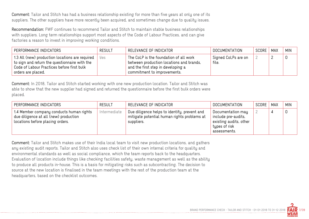Comment: Tailor and Stitch has had a business relationship existing for more than five years at only one of its suppliers. The other suppliers have more recently been acquired, and sometimes change due to quality issues.

Recommendation: FWF continues to recommend Tailor and Stitch to maintain stable business relationships with suppliers. Long term relationships support most aspects of the Code of Labour Practices, and can give factories a reason to invest in improving working conditions.

| PERFORMANCE INDICATORS                                                                                                                                               | RESULT | RELEVANCE OF INDICATOR                                                                                                                                  | DOCUMENTATION                | SCORE | <b>MAX</b> | <b>MIN</b> |
|----------------------------------------------------------------------------------------------------------------------------------------------------------------------|--------|---------------------------------------------------------------------------------------------------------------------------------------------------------|------------------------------|-------|------------|------------|
| 1.3 All (new) production locations are required<br>to sign and return the questionnaire with the<br>Code of Labour Practices before first bulk<br>orders are placed. | Yes    | The CoLP is the foundation of all work<br>between production locations and brands,<br>and the first step in developing a<br>commitment to improvements. | Signed CoLPs are on<br>file. |       |            | 0          |

Comment: In 2018, Tailor and Stitch started working with one new production location. Tailor and Stitch was able to show that the new supplier had signed and returned the questionnaire before the first bulk orders were placed.

| PERFORMANCE INDICATORS                                                                                                | <b>RESULT</b> | RELEVANCE OF INDICATOR                                                                                    | <b>DOCUMENTATION</b>                                                                                | SCORE | MAX | <b>MIN</b> |
|-----------------------------------------------------------------------------------------------------------------------|---------------|-----------------------------------------------------------------------------------------------------------|-----------------------------------------------------------------------------------------------------|-------|-----|------------|
| 1.4 Member company conducts human rights<br>due diligence at all (new) production<br>locations before placing orders. | Intermediate  | Due diligence helps to identify, prevent and<br>mitigate potential human rights problems at<br>suppliers. | Documentation may<br>include pre-audits,<br>existing audits, other<br>types of risk<br>assessments. |       |     |            |

Comment: Tailor and Stitch makes use of their India local team to visit new production locations, and gathers any existing audit reports. Tailor and Stitch also uses check list of their own internal criteria for quality and environmental standards as well as social compliance, which the team reports back to the headquarters. Evaluation of location include things like checking facilities safety, waste management as well as the ability to produce all products in-house. This is a basis for mitigating risks such as subcontracting. The decision to source at the new location is finalised in the team meetings with the rest of the production team at the headquarters, based on the checklist outcomes.

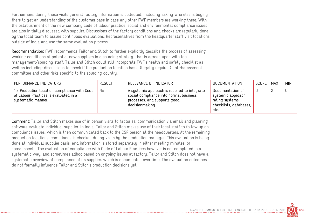Furthermore, during these visits general factory information is collected, including asking who else is buying there to get an understanding of the customer base in case any other FWF members are working there. With the establishment of the new company code of labour practice, social and environmental compliance issues are also initially discussed with supplier. Discussions of the factory conditions and checks are regularly done by the local team to assure continuous evaluations. Representatives from the headquarter staff visit locations outside of India and use the same evaluation process.

Recommendation: FWF recommends Tailor and Stitch to further explicitly describe the process of assessing working conditions at potential new suppliers in a sourcing strategy that is agreed upon with top management/sourcing staff. Tailor and Stitch could still incorporate FWF's health and safety checklist as well as including discussions to check if the production location has a (legally required) anti-harassment committee and other risks specific to the sourcing country.

| PERFORMANCE INDICATORS                                                                                      | <b>RESULT</b> | RELEVANCE OF INDICATOR                                                                                                                    | DOCUMENTATION                                                                               | SCORE | <b>MAX</b> | <b>MIN</b> |
|-------------------------------------------------------------------------------------------------------------|---------------|-------------------------------------------------------------------------------------------------------------------------------------------|---------------------------------------------------------------------------------------------|-------|------------|------------|
| 1.5 Production location compliance with Code<br>of Labour Practices is evaluated in a<br>systematic manner. | No            | A systemic approach is required to integrate<br>social compliance into normal business<br>processes, and supports good<br>decisionmaking. | Documentation of<br>systemic approach:<br>rating systems,<br>checklists, databases,<br>etc. |       |            | 0          |

Comment: Tailor and Stitch makes use of in person visits to factories, communication via email and planning software evaluate individual supplier. In India, Tailor and Stitch makes use of their local staff to follow up on compliance issues, which is then communicated back to the CSR person at the headquarters. At the remaining production locations, compliance is checked during visits by the production manager. This evaluation is being done at individual supplier basis, and information is stored separately in either meeting minutes, or spreadsheets. The evaluation of compliance with Code of Labour Practices however is not completed in a systematic way, and sometimes adhoc based on ongoing issues at factory. Tailor and Stitch does not have a systematic overview of compliance of its supplier, which is documented over time. The evaluation outcomes do not formally influence Tailor and Stitch's production decisions yet.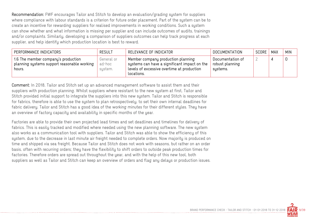Recommendation: FWF encourages Tailor and Stitch to develop an evaluation/grading system for suppliers where compliance with labour standards is a criterion for future order placement. Part of the system can be to create an incentive for rewarding suppliers for realised improvements in working conditions. Such a system can show whether and what information is missing per supplier and can include outcomes of audits, trainings and/or complaints. Similarly, developing a comparison of suppliers outcomes can help track progress at each supplier, and help identify which production location is best to reward.

| PERFORMANCE INDICATORS                                                                       | RESULT                          | RELEVANCE OF INDICATOR                                                                                                                         | DOCUMENTATION                                   | SCORE | <b>MAX</b> | <b>MIN</b> |
|----------------------------------------------------------------------------------------------|---------------------------------|------------------------------------------------------------------------------------------------------------------------------------------------|-------------------------------------------------|-------|------------|------------|
| 1.6 The member company's production<br>planning systems support reasonable working<br>hours. | General or<br>ad-hoc<br>system. | Member company production planning<br>systems can have a significant impact on the<br>levels of excessive overtime at production<br>locations. | Documentation of<br>robust planning<br>systems. |       |            | 0          |

Comment: In 2018, Tailor and Stitch set up an advanced management software to assist them and their suppliers with production planning. Whilst suppliers where resistant to the new system at first, Tailor and Stitch provided initial support to integrate the suppliers into this new system. Tailor and Stitch is responsible for fabrics, therefore is able to use the system to plan retrospectively, to set their own internal deadlines for fabric delivery. Tailor and Stitch has a good idea of the working minutes for their different styles. They have an overview of factory capacity and availability in specific months of the year.

Factories are able to provide their own projected lead times and set deadlines and timelines for delivery of fabrics. This is easily tracked and modified where needed using the new planning software. The new system also works as a communication tool with suppliers. Tailor and Stitch was able to show the efficiency of this system, due to the decrease in last minute air freight needed to complete orders. Now majority is produced on time and shipped via sea freight. Because Tailor and Stitch does not work with seasons, but rather on an order basis, often with recurring orders; they have the flexibility to shift orders to outside peak production times for factories. Therefore orders are spread out throughout the year, and with the help of this new tool, both suppliers as well as Tailor and Stitch can keep an overview of orders and flag any delays or production issues.

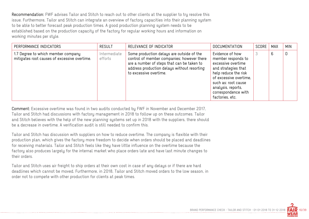Recommendation: FWF advises Tailor and Stitch to reach out to other clients at the supplier to try resolve this issue. Furthermore, Tailor and Stitch can integrate an overview of factory capacities into their planning system to be able to better forecast peak production times. A good production planning system needs to be established based on the production capacity of the factory for regular working hours and information on working minutes per style.

| PERFORMANCE INDICATORS                                                             | <b>RESULT</b>           | RELEVANCE OF INDICATOR                                                                                                                                                                                         | <b>DOCUMENTATION</b>                                                                                                                                                                                                        | SCORE | MAX | <b>MIN</b>  |
|------------------------------------------------------------------------------------|-------------------------|----------------------------------------------------------------------------------------------------------------------------------------------------------------------------------------------------------------|-----------------------------------------------------------------------------------------------------------------------------------------------------------------------------------------------------------------------------|-------|-----|-------------|
| 1.7 Degree to which member company<br>mitigates root causes of excessive overtime. | Intermediate<br>efforts | Some production delays are outside of the<br>control of member companies; however there<br>are a number of steps that can be taken to<br>address production delays without resorting<br>to excessive overtime. | Evidence of how<br>member responds to<br>excessive overtime<br>and strategies that<br>help reduce the risk<br>of excessive overtime,<br>such as: root cause<br>analysis, reports,<br>correspondence with<br>factories, etc. |       | 6   | $\mathbf 0$ |

Comment: Excessive overtime was found in two audits conducted by FWF in November and December 2017, Tailor and Stitch had discussions with factory management in 2018 to follow up on these outcomes. Tailor and Stitch believes with the help of the new planning systems set up in 2018 with the suppliers, there should be a decrease in overtime. A verification audit is still needed to confirm this.

Tailor and Stitch has discussion with suppliers on how to reduce overtime. The company is flexible with their production plan, which gives the factory more freedom to decide when orders should be placed and deadlines for receiving materials. Tailor and Stitch feels like they have little influence on the overtime because the factory also produces largely for the internal market who place orders late and have last minute changes to their orders.

Tailor and Stitch uses air freight to ship orders at their own cost in case of any delays or if there are hard deadlines which cannot be moved. Furthermore, in 2018, Tailor and Stitch moved orders to the low season, in order not to compete with other production for clients at peak times.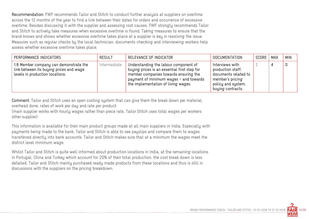Recommendation: FWF recommends Tailor and Stitch to conduct further analysis at suppliers on overtime across the 12 months of the year to find a link between their dates for orders and occurrence of excessive overtime. Besides discussing it with the supplier and assessing root causes, FWF strongly recommends Tailor and Stitch to actively take measures when excessive overtime is found. Taking measures to ensure that the brand knows and shows whether excessive overtime takes place at a supplier is key in resolving the issue. Measures such as regular checks by the local technician, documents checking and interviewing workers help assess whether excessive overtime takes place.

| PERFORMANCE INDICATORS                                                                                               | <b>RESULT</b> | RELEVANCE OF INDICATOR                                                                                                                                                                                          | DOCUMENTATION                                                                                                               | SCORE | MAX | <b>MIN</b> |
|----------------------------------------------------------------------------------------------------------------------|---------------|-----------------------------------------------------------------------------------------------------------------------------------------------------------------------------------------------------------------|-----------------------------------------------------------------------------------------------------------------------------|-------|-----|------------|
| 1.8 Member company can demonstrate the<br>link between its buying prices and wage<br>levels in production locations. | Intermediate  | Understanding the labour component of<br>buying prices is an essential first step for<br>member companies towards ensuring the<br>payment of minimum wages - and towards<br>the implementation of living wages. | Interviews with<br>production staff,<br>documents related to<br>member's pricing<br>policy and system,<br>buying contracts. |       |     |            |

Comment: Tailor and Stitch uses an open costing system that can give them the break down per material, overhead done, rates of work per day and rate per product.

(main supplier works with hourly wages rather than piece rate, Tailor Stitch uses total wages per workers other supplier)

This information is available for their main product groups made at all main suppliers in India. Especially with payments being made to the bank, Tailor and Stitch is able to see payslips and compare them to wages transferred directly into bank accounts. Tailor and Stitch makes sure that at a minimum the wages meet the district level minimum wage.

Whilst Tailor and Stitch is quite well informed about production locations in India, at the remaining locations in Portugal, China and Turkey which account for 20% of their total production, the cost break down is less detailed. Tailor and Stitch mainly purchased ready made products from these locations and thus is still in discussions with the suppliers on the pricing breakdown.

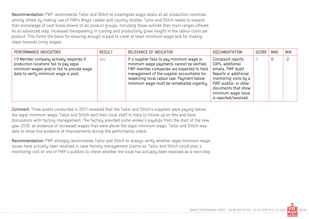Recommendation: FWF recommends Tailor and Stitch to investigate wage levels at all production countries, among others by making use of FWFs Wage Ladder and country studies. Tailor and Stitch needs to expand their knowledge of cost break downs of all product groups, including those outside their main ranges offered. As an advanced step, increased transparency in costing and productivity gives insight in the labour costs per product. This forms the basis for ensuring enough is paid to cover at least minimum wage and for making steps towards living wages.

| PERFORMANCE INDICATORS                                                                                                                                                 | <b>RESULT</b> | RELEVANCE OF INDICATOR                                                                                                                                                                                                                                                        | <b>DOCUMENTATION</b>                                                                                                                                                                                          | SCORE | MAX | <b>MIN</b> |
|------------------------------------------------------------------------------------------------------------------------------------------------------------------------|---------------|-------------------------------------------------------------------------------------------------------------------------------------------------------------------------------------------------------------------------------------------------------------------------------|---------------------------------------------------------------------------------------------------------------------------------------------------------------------------------------------------------------|-------|-----|------------|
| 1.9 Member company actively responds if<br>production locations fail to pay legal<br>minimum wages and/or fail to provide wage<br>data to verify minimum wage is paid. | Yes           | If a supplier fails to pay minimum wage or<br>minimum wage payments cannot be verified,<br>FWF member companies are expected to hold<br>management of the supplier accountable for<br>respecting local labour law. Payment below<br>minimum wage must be remediated urgently. | Complaint reports,<br>CAPs, additional<br>emails, FWF Audit<br>Reports or additional<br>monitoring visits by a<br>FWF auditor, or other<br>documents that show<br>minimum wage issue<br>is reported/resolved. |       | 0   | $-2$       |

Comment: Three audits conducted in 2017 revealed that the Tailor and Stitch's suppliers were paying below the legal minimum wage. Tailor and Stitch sent their local staff in India to follow up on this and have discussions with factory management. The factory provided some worker's payslips from the start of the new year 2018, as evidence of increased wages that were above the legal minimum wage. Tailor and Stitch was able to show this evidence of improvements during the performance check.

Recommendation: FWF strongly recommends Tailor and Stitch to always verify whether legal minimum wage issues have actually been resolved in case factory management claims so. Tailor and Stitch could plan a monitoring visit of one of FWF's auditors to check whether the issue has actually been resolved as a next step.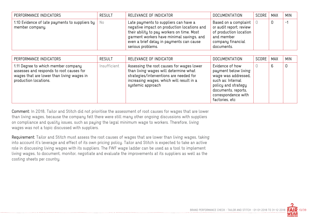| PERFORMANCE INDICATORS                                                           | <b>RESULT</b> | RELEVANCE OF INDICATOR                                                                                                                                                                                                                           | DOCUMENTATION                                                                                                              | SCORE | MAX | <b>MIN</b> |
|----------------------------------------------------------------------------------|---------------|--------------------------------------------------------------------------------------------------------------------------------------------------------------------------------------------------------------------------------------------------|----------------------------------------------------------------------------------------------------------------------------|-------|-----|------------|
| 1.10 Evidence of late payments to suppliers by $\parallel$ No<br>member company. |               | Late payments to suppliers can have a<br>negative impact on production locations and<br>their ability to pay workers on time. Most<br>garment workers have minimal savings, and<br>even a brief delay in payments can cause<br>serious problems. | Based on a complaint<br>or audit report; review<br>of production location<br>and member<br>company financial<br>documents. |       | 0   | $-1$       |

| PERFORMANCE INDICATORS                                                                                                                                | <b>RESULT</b> | RELEVANCE OF INDICATOR                                                                                                                                                                         | <b>DOCUMENTATION</b>                                                                                                                                                       | SCORE | MAX | <b>MIN</b> |
|-------------------------------------------------------------------------------------------------------------------------------------------------------|---------------|------------------------------------------------------------------------------------------------------------------------------------------------------------------------------------------------|----------------------------------------------------------------------------------------------------------------------------------------------------------------------------|-------|-----|------------|
| 1.11 Degree to which member company<br>assesses and responds to root causes for<br>wages that are lower than living wages in<br>production locations. | Insufficient  | Assessing the root causes for wages lower<br>than living wages will determine what<br>strategies/interventions are needed for<br>increasing wages, which will result in a<br>systemic approach | Evidence of how<br>payment below living<br>wage was addressed,<br>such as: Internal<br>policy and strategy<br>documents, reports,<br>correspondence with<br>factories, etc |       | 6   | 0          |

Comment: In 2018, Tailor and Stitch did not prioritise the assessment of root causes for wages that are lower than living wages, because the company felt there were still many other ongoing discussions with suppliers on compliance and quality issues, such as paying the legal minimum wage to workers. Therefore, living wages was not a topic discussed with suppliers.

Requirement: Tailor and Stitch must assess the root causes of wages that are lower than living wages, taking into account it's leverage and effect of its own pricing policy. Tailor and Stitch is expected to take an active role in discussing living wages with its suppliers. The FWF wage ladder can be used as a tool to implement living wages, to document, monitor, negotiate and evaluate the improvements at its suppliers as well as the costing sheets per country.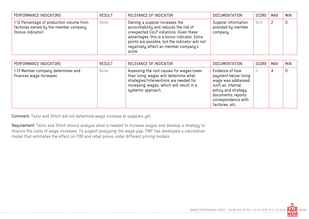| PERFORMANCE INDICATORS                                                                                   | <b>RESULT</b> | RELEVANCE OF INDICATOR                                                                                                                                                                                                                                                     | <b>DOCUMENTATION</b>                                   | SCORE | MAX | <b>MIN</b> |
|----------------------------------------------------------------------------------------------------------|---------------|----------------------------------------------------------------------------------------------------------------------------------------------------------------------------------------------------------------------------------------------------------------------------|--------------------------------------------------------|-------|-----|------------|
| 1.12 Percentage of production volume from<br>factories owned by the member company<br>(bonus indicator). | None          | Owning a supplier increases the<br>accountability and reduces the risk of<br>unexpected CoLP violations. Given these<br>advantages, this is a bonus indicator. Extra<br>points are possible, but the indicator will not<br>negatively affect an member company's<br>score. | Supplier information<br>provided by member<br>company. | N/A   |     | 0          |

| PERFORMANCE INDICATORS                                        | <b>RESULT</b> | RELEVANCE OF INDICATOR                                                                                                                                                                          | <b>DOCUMENTATION</b>                                                                                                                                                        | SCORE | MAX | <b>MIN</b> |
|---------------------------------------------------------------|---------------|-------------------------------------------------------------------------------------------------------------------------------------------------------------------------------------------------|-----------------------------------------------------------------------------------------------------------------------------------------------------------------------------|-------|-----|------------|
| 1.13 Member company determines and<br>finances wage increases | None          | Assessing the root causes for wages lower<br>than living wages will determine what<br>strategies/interventions are needed for<br>increasing wages, which will result in a<br>systemic approach. | Evidence of how<br>payment below living<br>wage was addressed,<br>such as: internal<br>policy and strategy<br>documents, reports,<br>correspondence with<br>factories, etc. |       | 4   | 0          |

---------------------------------

Comment: Tailor and Stitch did not determine wage increase at suppliers yet.

Requirement: Tailor and Stitch should analyse what is needed to increase wages and develop a strategy to finance the costs of wage increases. To support analysing the wage gap, FWF has developed a calculation model that estimates the effect on FOB and retail prices under different pricing models.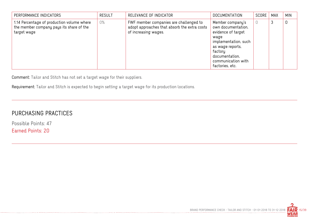| PERFORMANCE INDICATORS                                                                                | <b>RESULT</b> | RELEVANCE OF INDICATOR                                                                                         | <b>DOCUMENTATION</b>                                                                                                                                                                   | SCORE | <b>MAX</b> | <b>MIN</b> |
|-------------------------------------------------------------------------------------------------------|---------------|----------------------------------------------------------------------------------------------------------------|----------------------------------------------------------------------------------------------------------------------------------------------------------------------------------------|-------|------------|------------|
| 1.14 Percentage of production volume where<br>the member company pays its share of the<br>target wage | 0%            | FWF member companies are challenged to<br>adopt approaches that absorb the extra costs<br>of increasing wages. | Member company's<br>own documentation,<br>evidence of target<br>waqe<br>implementation, such<br>as wage reports,<br>factory<br>documentation,<br>communication with<br>factories, etc. | 0     | 3          | 0          |

Comment: Tailor and Stitch has not set a target wage for their suppliers.

Requirement: Tailor and Stitch is expected to begin setting a target wage for its production locations.

## PURCHASING PRACTICES

Possible Points: 47 Earned Points: 20

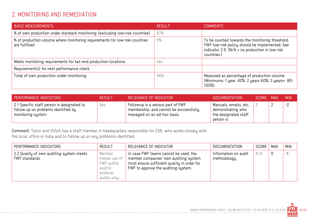## 2. MONITORING AND REMEDIATION

| <b>BASIC MEASUREMENTS</b>                                                                    | RESULT | <b>COMMENTS</b>                                                                                                                                                     |
|----------------------------------------------------------------------------------------------|--------|---------------------------------------------------------------------------------------------------------------------------------------------------------------------|
| % of own production under standard monitoring (excluding low-risk countries)                 | 87%    |                                                                                                                                                                     |
| % of production volume where monitoring requirements for low-risk countries<br>are fulfilled | 9%     | To be counted towards the monitoring threshold,<br>FWF low-risk policy should be implemented. See<br>indicator 2.9. (N/A = no production in low risk<br>countries.) |
| Meets monitoring requirements for tail-end production locations.                             | Yes    |                                                                                                                                                                     |
| Requirement(s) for next performance check                                                    |        |                                                                                                                                                                     |
| Total of own production under monitoring                                                     | 96%    | Measured as percentage of production volume<br>(Minimums: 1 year: 40%; 2 years 60%; 3 years+: 80-<br>100%)                                                          |

| <b>PERFORMANCE INDICATORS</b>                                                                          | 'RESULT. | RELEVANCE OF INDICATOR                                                                                     | DOCUMENTATION                                                                       | SCORE MAX |   | <b>MIN</b> |
|--------------------------------------------------------------------------------------------------------|----------|------------------------------------------------------------------------------------------------------------|-------------------------------------------------------------------------------------|-----------|---|------------|
| 2.1 Specific staff person is designated to<br>follow up on problems identified by<br>monitoring system | Yes      | Followup is a serious part of FWF<br>membership, and cannot be successfully<br>managed on an ad-hoc basis. | Manuals, emails, etc.,  <br>demonstrating who<br>the designated staff<br>person is. |           | ∸ | $-2$       |

Comment: Tailor and Stitch has a staff member in headquarters responsible for CSR, who works closely with the local office in India and to follow up on any problems identified.

| PERFORMANCE INDICATORS                                     | <b>RESULT</b>                                                             | RELEVANCE OF INDICATOR                                                                                                                                               | <b>DOCUMENTATION</b>                 | SCORE | <b>MAX</b> | <b>MIN</b> |
|------------------------------------------------------------|---------------------------------------------------------------------------|----------------------------------------------------------------------------------------------------------------------------------------------------------------------|--------------------------------------|-------|------------|------------|
| 2.2 Quality of own auditing system meets<br>FWF standards. | Member<br>makes use of<br>FWF audits<br>and/or<br>external<br>audits only | In case FWF teams cannot be used, the<br>member companies' own auditing system<br>must ensure sufficient quality in order for<br>FWF to approve the auditing system. | Information on audit<br>methodology. | N/A   | 0          | $-1$       |

...............................

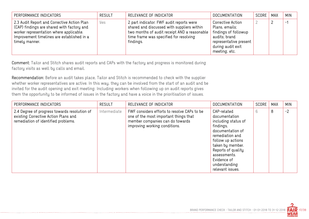| PERFORMANCE INDICATORS                                                                                                                                                                               | <b>RESULT</b> | RELEVANCE OF INDICATOR                                                                                                                                                                          | <b>DOCUMENTATION</b>                                                                                                                         | SCORE   MAX | <b>MIN</b> |
|------------------------------------------------------------------------------------------------------------------------------------------------------------------------------------------------------|---------------|-------------------------------------------------------------------------------------------------------------------------------------------------------------------------------------------------|----------------------------------------------------------------------------------------------------------------------------------------------|-------------|------------|
| 2.3 Audit Report and Corrective Action Plan<br>(CAP) findings are shared with factory and<br>worker representation where applicable.<br>Improvement timelines are established in a<br>timely manner. | Yes           | 2 part indicator: FWF audit reports were<br>shared and discussed with suppliers within<br>two months of audit receipt AND a reasonable  <br>time frame was specified for resolving<br>findings. | Corrective Action<br>Plans, emails;<br>findings of followup<br>audits; brand<br>representative present<br>during audit exit<br>meeting, etc. |             | $-1$       |

Comment: Tailor and Stitch shares audit reports and CAPs with the factory and progress is monitored during factory visits as well by calls and email.

Recommendation: Before an audit takes place, Tailor and Stitch is recommended to check with the supplier whether worker representatives are active. In this way, they can be involved from the start of an audit and be invited for the audit opening and exit meeting. Including workers when following up on audit reports gives them the opportunity to be informed of issues in the factory and have a voice in the prioritisation of issues.

| PERFORMANCE INDICATORS                                                                                                      | <b>RESULT</b> | RELEVANCE OF INDICATOR                                                                                                                                   | <b>DOCUMENTATION</b>                                                                                                                                                                                                                       | SCORE | <b>MAX</b> | <b>MIN</b> |
|-----------------------------------------------------------------------------------------------------------------------------|---------------|----------------------------------------------------------------------------------------------------------------------------------------------------------|--------------------------------------------------------------------------------------------------------------------------------------------------------------------------------------------------------------------------------------------|-------|------------|------------|
| 2.4 Degree of progress towards resolution of<br>existing Corrective Action Plans and<br>remediation of identified problems. | Intermediate  | FWF considers efforts to resolve CAPs to be<br>one of the most important things that<br>member companies can do towards<br>improving working conditions. | CAP-related<br>documentation<br>including status of<br>findings,<br>documentation of<br>remediation and<br>follow up actions<br>taken by member.<br>Reports of quality<br>assessments.<br>Evidence of<br>understanding<br>relevant issues. | 6     | 8          | $-2$       |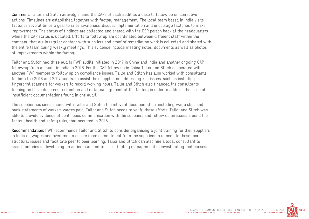Comment: Tailor and Stitch actively shared the CAPs of each audit as a base to follow up on corrective actions. Timelines are established together with factory management. The local team based in India visits factories several times a year to raise awareness, discuss implementation and encourage factories to make improvements. The status of findings are collected and shared with the CSR person back at the headquarters where the CAP status is updated. Efforts to follow up are coordinated between different staff within the company that are in regular contact with suppliers and proof of remediation work is collected and shared with the entire team during weekly meetings. This evidence include meeting notes, documents as well as photos of improvements within the factory.

Tailor and Stitch had three audits FWF audits initiated in 2017 in China and India and another ongoing CAP follow-up from an audit in India in 2016. For the CAP follow up in China,Tailor and Stitch cooperated with another FWF member to follow up on compliance issues. Tailor and Stitch has also worked with consultants for both the 2016 and 2017 audits, to assist their supplier on addressing key issues, such as installing fingerprint scanners for workers to record working hours. Tailor and Stitch also financed the consultants training on basic document collection and data management at the factory in order to address the issue of insufficient documentations found in one audit.

The supplier has since shared with Tailor and Stitch the relevant documentation, including wage slips and bank statements of workers wages paid. Tailor and Stitch needs to verify these efforts. Tailor and Stitch was able to provide evidence of continuous communication with the suppliers and follow up on issues around the factory health and safety risks, that occurred in 2018.

Recommendation: FWF recommends Tailor and Stitch to consider organising a joint training for their suppliers in India on wages and overtime, to ensure more commitment from the suppliers to remediate these more structural issues and facilitate peer to peer learning. Tailor and Stitch can also hire a local consultant to assist factories in developing an action plan and to assist factory management in investigating root causes.

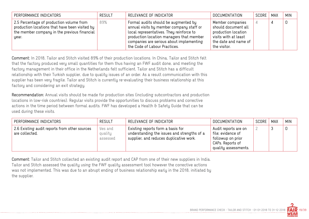| PERFORMANCE INDICATORS                                                                                                                              | <b>RESULT</b> | RELEVANCE OF INDICATOR                                                                                                                                                                                                                                | DOCUMENTATION                                                                                                                  | SCORE | MAX | <b>MIN</b> |
|-----------------------------------------------------------------------------------------------------------------------------------------------------|---------------|-------------------------------------------------------------------------------------------------------------------------------------------------------------------------------------------------------------------------------------------------------|--------------------------------------------------------------------------------------------------------------------------------|-------|-----|------------|
| 2.5 Percentage of production volume from<br>production locations that have been visited by<br>the member company in the previous financial<br>year. | 89%           | Formal audits should be augmented by<br>annual visits by member company staff or<br>local representatives. They reinforce to<br>production location managers that member<br>companies are serious about implementing<br>the Code of Labour Practices. | Member companies<br>should document all<br>production location<br>visits with at least<br>the date and name of<br>the visitor. |       |     |            |

Comment: In 2018, Tailor and Stitch visited 89% of their production locations. In China, Tailor and Stitch felt that the factory produced very small quantities for them thus having an FWF audit done, and meeting the factory management in their office in the Netherlands felt sufficient. Tailor and Stitch has a difficult relationship with their Turkish supplier, due to quality issues of an order. As a result communication with this supplier has been very fragile. Tailor and Stitch is currently re-evaluating their business relationship at this factory and considering an exit strategy.

Recommendation: Annual visits should be made for production sites (including subcontractors and production locations in low-risk countries). Regular visits provide the opportunities to discuss problems and corrective actions in the time period between formal audits. FWF has developed a Health & Safety Guide that can be used during these visits.

| PERFORMANCE INDICATORS                                          | <b>RESULT</b>                  | RELEVANCE OF INDICATOR                                                                                                      | <b>DOCUMENTATION</b>                                                                                       | SCORE | MAX | <b>MIN</b> |
|-----------------------------------------------------------------|--------------------------------|-----------------------------------------------------------------------------------------------------------------------------|------------------------------------------------------------------------------------------------------------|-------|-----|------------|
| 2.6 Existing audit reports from other sources<br>are collected. | yes and<br>quality<br>assessed | Existing reports form a basis for<br>understanding the issues and strengths of a<br>supplier, and reduces duplicative work. | Audit reports are on<br>file; evidence of<br>followup on prior<br>CAPs. Reports of<br>quality assessments. |       |     |            |

Comment: Tailor and Stitch collected an existing audit report and CAP from one of their new suppliers in India. Tailor and Stitch assessed the quality using the FWF quality assessment tool however the corrective actions was not implemented. This was due to an abrupt ending of business relationship early in the 2018, initiated by the supplier.

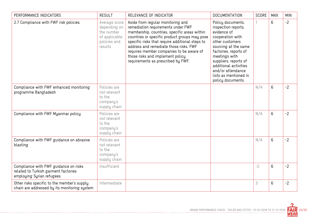| PERFORMANCE INDICATORS                                                                                     | <b>RESULT</b>                                                                           | RELEVANCE OF INDICATOR                                                                                                                                                                                                                                                                                                                                                                      | <b>DOCUMENTATION</b>                                                                                                                                                                                                                                                                  | SCORE | <b>MAX</b> | <b>MIN</b> |
|------------------------------------------------------------------------------------------------------------|-----------------------------------------------------------------------------------------|---------------------------------------------------------------------------------------------------------------------------------------------------------------------------------------------------------------------------------------------------------------------------------------------------------------------------------------------------------------------------------------------|---------------------------------------------------------------------------------------------------------------------------------------------------------------------------------------------------------------------------------------------------------------------------------------|-------|------------|------------|
| 2.7 Compliance with FWF risk policies.                                                                     | Average score<br>depending on<br>the number<br>of applicable<br>policies and<br>results | Aside from regular monitoring and<br>remediation requirements under FWF<br>membership, countries, specific areas within<br>countries or specific product groups may pose<br>specific risks that require additional steps to<br>address and remediate those risks. FWF<br>requires member companies to be aware of<br>those risks and implement policy<br>requirements as prescribed by FWF. | Policy documents,<br>inspection reports,<br>evidence of<br>cooperation with<br>other customers<br>sourcing at the same<br>factories, reports of<br>meetings with<br>suppliers, reports of<br>additional activities<br>and/or attendance<br>lists as mentioned in<br>policy documents. |       | 6          | $-2$       |
| Compliance with FWF enhanced monitoring<br>programme Bangladesh                                            | Policies are<br>not relevant<br>to the<br>company's<br>supply chain                     |                                                                                                                                                                                                                                                                                                                                                                                             |                                                                                                                                                                                                                                                                                       | N/A   | 6          | $-2$       |
| Compliance with FWF Myanmar policy                                                                         | Policies are<br>not relevant<br>to the<br>company's<br>supply chain                     |                                                                                                                                                                                                                                                                                                                                                                                             |                                                                                                                                                                                                                                                                                       | N/A   | 6          | $-2$       |
| Compliance with FWF guidance on abrasive<br>blasting                                                       | Policies are<br>not relevant<br>to the<br>company's<br>supply chain                     |                                                                                                                                                                                                                                                                                                                                                                                             |                                                                                                                                                                                                                                                                                       | N/A   | 6          | $-2$       |
| Compliance with FWF guidance on risks<br>related to Turkish garment factories<br>employing Syrian refugees | Insufficient                                                                            |                                                                                                                                                                                                                                                                                                                                                                                             |                                                                                                                                                                                                                                                                                       | $-2$  | 6          | $-2$       |
| Other risks specific to the member's supply<br>chain are addressed by its monitoring system                | Intermediate                                                                            |                                                                                                                                                                                                                                                                                                                                                                                             |                                                                                                                                                                                                                                                                                       | 3     | 6          | $-2$       |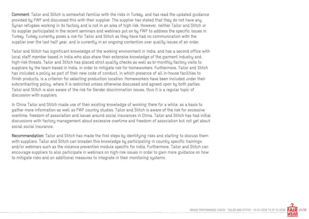Comment: Tailor and Stitch is somewhat familiar with the risks in Turkey, and has read the updated guidance provided by FWF and discussed this with their supplier. The supplier has stated that they do not have any Syrian refugees working in its factory and is not in an area of high risk. However, neither Tailor and Stitch or its supplier participated in the recent seminars and webinars put on by FWF to address the specific issues in Turkey. Turkey currently poses a risk for Tailor and Stitch as they have had no communication with the supplier over the last half year, and is currently in an ongoing contention over quality issues of an order.

Tailor and Stitch has significant knowledge of the working environment in India, and has a second office with local staff member based in India who also share their extensive knowledge of the garment industry and high-risk threats. Tailor and Stitch has placed strict quality checks as well as bi-monthly factory visits to suppliers by the team based in India, in order to mitigate risk for homeworkers. Furthermore, Tailor and Stitch has included a policy as part of their new code of conduct, in which presence of all in-house facilities to finish products, is a criterion for selecting production location. Homeworkers have been included under their subcontracting policy, where it is restricted unless otherwise discussed and agreed upon by both parties. Tailor and Stitch is also aware of the risk for Gender discrimination issues, thus it is a regular topic of discussion with suppliers.

In China Tailor and Stitch made use of their existing knowledge of working there for a while, as a basis to gather more information as well as FWF country studies. Tailor and Stitch is aware of the risk for excessive overtime, freedom of association and issues around social insurances in China. Tailor and Stitch has had initial discussions with factory management about excessive overtime and freedom of association but not yet about social social insurance.

Recommendation: Tailor and Stitch has made the first steps by identifying risks and starting to discuss them with suppliers, Tailor and Stitch can broaden this knowledge by participating in country specific trainings and/or webinars such as the violence prevention module specific for India. Furthermore, Tailor and Stitch can encourage suppliers to also participate in webinars on high-risk issues in order to gain more guidance on how to mitigate risks and on additional measures to integrate in their monitoring systems.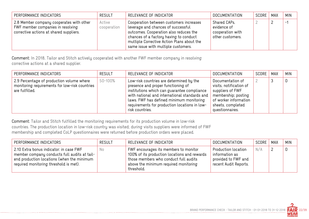| PERFORMANCE INDICATORS                                                                                                   | <b>RESULT</b>         | RELEVANCE OF INDICATOR                                                                                                                                                                                                                                 | <b>DOCUMENTATION</b>                                                | SCORE   MAX | <b>MIN</b>     |
|--------------------------------------------------------------------------------------------------------------------------|-----------------------|--------------------------------------------------------------------------------------------------------------------------------------------------------------------------------------------------------------------------------------------------------|---------------------------------------------------------------------|-------------|----------------|
| 2.8 Member company cooperates with other<br>FWF member companies in resolving<br>corrective actions at shared suppliers. | Active<br>cooperation | Cooperation between customers increases<br>leverage and chances of successful<br>outcomes. Cooperation also reduces the<br>chances of a factory having to conduct<br>multiple Corrective Action Plans about the<br>same issue with multiple customers. | Shared CAPs,<br>evidence of<br>cooperation with<br>other customers. |             | $\blacksquare$ |

Comment: In 2018, Tailor and Stitch actively cooperated with another FWF member company in resolving corrective actions at a shared supplier.

| PERFORMANCE INDICATORS                                                                                        | <b>RESULT</b> | RELEVANCE OF INDICATOR                                                                                                                                                                                                                                                                         | <b>DOCUMENTATION</b>                                                                                                                                    | SCORE | MAX | <b>MIN</b> |
|---------------------------------------------------------------------------------------------------------------|---------------|------------------------------------------------------------------------------------------------------------------------------------------------------------------------------------------------------------------------------------------------------------------------------------------------|---------------------------------------------------------------------------------------------------------------------------------------------------------|-------|-----|------------|
| 2.9 Percentage of production volume where<br>monitoring requirements for low-risk countries<br>are fulfilled. | 50-100%       | Low-risk countries are determined by the<br>presence and proper functioning of<br>institutions which can guarantee compliance<br>with national and international standards and<br>laws. FWF has defined minimum monitoring<br>requirements for production locations in low-<br>risk countries. | Documentation of<br>visits, notification of<br>suppliers of FWF<br>membership; posting<br>of worker information<br>sheets, completed<br>questionnaires. |       |     |            |

Comment: Tailor and Stitch fulfilled the monitoring requirements for its production volume in low-risk countries. The production location in low-risk country was visited; during visits suppliers were informed of FWF membership and completed CoLP questionnaires were returned before production orders were placed.

| PERFORMANCE INDICATORS                                                                                                                                                          | <b>RESULT</b> | RELEVANCE OF INDICATOR                                                                                                                                                                | DOCUMENTATION                                                                         | SCORE | MAX | <b>MIN</b> |
|---------------------------------------------------------------------------------------------------------------------------------------------------------------------------------|---------------|---------------------------------------------------------------------------------------------------------------------------------------------------------------------------------------|---------------------------------------------------------------------------------------|-------|-----|------------|
| 2.10 Extra bonus indicator: in case FWF<br>member company conducts full audits at tail-<br>end production locations (when the minimum<br>required monitoring threshold is met). | No.           | FWF encourages its members to monitor<br>100% of its production locations and rewards<br>those members who conduct full audits<br>above the minimum required monitoring<br>threshold. | Production location<br>information as<br>provided to FWF and<br>recent Audit Reports. | N/A   |     |            |

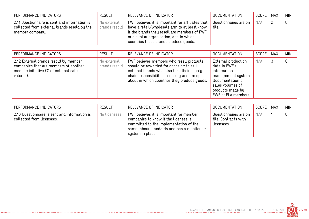| PERFORMANCE INDICATORS                                                                                           | <b>RESULT</b>                | RELEVANCE OF INDICATOR                                                                                                                                                                                                               | <b>DOCUMENTATION</b>           | SCORE | MAX | <b>MIN</b> |
|------------------------------------------------------------------------------------------------------------------|------------------------------|--------------------------------------------------------------------------------------------------------------------------------------------------------------------------------------------------------------------------------------|--------------------------------|-------|-----|------------|
| 2.11 Questionnaire is sent and information is<br>collected from external brands resold by the<br>member company. | No external<br>brands resold | FWF believes it is important for affiliates that<br>have a retail/wholesale arm to at least know<br>if the brands they resell are members of FWF<br>or a similar organisation, and in which<br>countries those brands produce goods. | Questionnaires are on<br>file. | N/A   |     |            |

| PERFORMANCE INDICATORS                                                                                                                 | <b>RESULT</b>                | RELEVANCE OF INDICATOR                                                                                                                                                                                                             | <b>DOCUMENTATION</b>                                                                                                                                         | SCORE | MAX | <b>MIN</b> |
|----------------------------------------------------------------------------------------------------------------------------------------|------------------------------|------------------------------------------------------------------------------------------------------------------------------------------------------------------------------------------------------------------------------------|--------------------------------------------------------------------------------------------------------------------------------------------------------------|-------|-----|------------|
| 2.12 External brands resold by member<br>companies that are members of another<br>credible initiative (% of external sales<br>volume). | No external<br>brands resold | FWF believes members who resell products<br>should be rewarded for choosing to sell<br>external brands who also take their supply<br>chain responsibilities seriously and are open<br>about in which countries they produce goods. | External production<br>data in FWF's<br>information<br>management system.<br>Documentation of<br>sales volumes of<br>products made by<br>FWF or FLA members. | N/A   |     |            |

| PERFORMANCE INDICATORS                                                     | <b>RESULT</b> | RELEVANCE OF INDICATOR                                                                                                                                                                      | DOCUMENTATION                                                 | SCORE | <b>MAX</b> | <b>MIN</b> |
|----------------------------------------------------------------------------|---------------|---------------------------------------------------------------------------------------------------------------------------------------------------------------------------------------------|---------------------------------------------------------------|-------|------------|------------|
| 2.13 Questionnaire is sent and information is<br>collected from licensees. | No licensees  | FWF believes it is important for member<br>companies to know if the licensee is<br>committed to the implementation of the<br>same labour standards and has a monitoring<br>system in place. | Questionnaires are on<br>file. Contracts with `<br>licensees. | N/A   |            |            |

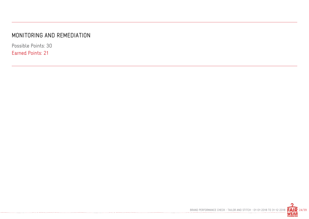#### MONITORING AND REMEDIATION

-----------------------------------

Possible Points: 30 Earned Points: 21

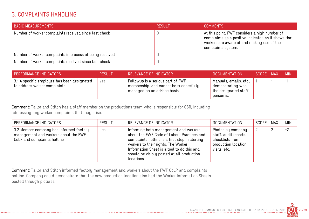#### 3. COMPLAINTS HANDLING

| <b>BASIC MEASUREMENTS</b>                                | RESULT | <b>COMMENTS</b>                                                                                                                                                           |
|----------------------------------------------------------|--------|---------------------------------------------------------------------------------------------------------------------------------------------------------------------------|
| Number of worker complaints received since last check    |        | At this point, FWF considers a high number of<br>complaints as a positive indicator, as it shows that<br>workers are aware of and making use of the<br>complaints system. |
| Number of worker complaints in process of being resolved |        |                                                                                                                                                                           |
| Number of worker complaints resolved since last check    |        |                                                                                                                                                                           |

| PERFORMANCE INDICATORS                                                             | <b>RESULT</b> | RELEVANCE OF INDICATOR                                                                                     | <b>DOCUMENTATION</b>                                                              | SCORE MAX | <b>MIN</b> |
|------------------------------------------------------------------------------------|---------------|------------------------------------------------------------------------------------------------------------|-----------------------------------------------------------------------------------|-----------|------------|
| $^\pm$ 3.1 A specific employee has been designated<br>to address worker complaints | Yes           | Followup is a serious part of FWF<br>membership, and cannot be successfully<br>managed on an ad-hoc basis. | Manuals, emails, etc.,<br>demonstrating who<br>the designated staff<br>person is. |           | $-$        |

Comment: Tailor and Stitch has a staff member on the productions team who is responsible for CSR, including addressing any worker complaints that may arise.

| PERFORMANCE INDICATORS                                                                                          | <b>RESULT</b> | RELEVANCE OF INDICATOR                                                                                                                                                                                                                                                                 | <b>DOCUMENTATION</b>                                                                                 | SCORE | <b>MAX</b> | MIN  |
|-----------------------------------------------------------------------------------------------------------------|---------------|----------------------------------------------------------------------------------------------------------------------------------------------------------------------------------------------------------------------------------------------------------------------------------------|------------------------------------------------------------------------------------------------------|-------|------------|------|
| 3.2 Member company has informed factory<br>management and workers about the FWF<br>CoLP and complaints hotline. | Yes           | Informing both management and workers<br>about the FWF Code of Labour Practices and<br>complaints hotline is a first step in alerting<br>workers to their rights. The Worker<br>Information Sheet is a tool to do this and<br>should be visibly posted at all production<br>locations. | Photos by company<br>staff, audit reports,<br>checklists from<br>production location<br>visits, etc. |       |            | $-2$ |

Comment: Tailor and Stitch informed factory management and workers about the FWF CoLP and complaints hotline. Company could demonstrate that the new production location also had the Worker Information Sheets posted through pictures.

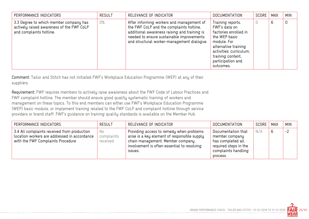| PERFORMANCE INDICATORS                                                                                         | <b>RESULT</b> | RELEVANCE OF INDICATOR                                                                                                                                                                                                           | <b>DOCUMENTATION</b>                                                                                                                                                                                  | SCORE | <b>MAX</b> | <b>MIN</b> |
|----------------------------------------------------------------------------------------------------------------|---------------|----------------------------------------------------------------------------------------------------------------------------------------------------------------------------------------------------------------------------------|-------------------------------------------------------------------------------------------------------------------------------------------------------------------------------------------------------|-------|------------|------------|
| 3.3 Degree to which member company has<br>actively raised awareness of the FWF CoLP<br>and complaints hotline. | 0%            | After informing workers and management of<br>the FWF CoLP and the complaints hotline,<br>additional awareness raising and training is<br>needed to ensure sustainable improvements<br>and structural worker-management dialogue. | Training reports,<br>FWF's data on<br>factories enrolled in<br>the WEP basic<br>module. For<br>alternative training<br>activities: curriculum,<br>training content,<br>participation and<br>outcomes. |       | 6          | 0          |

Comment: Tailor and Stitch has not initiated FWF's Workplace Education Programme (WEP) at any of their suppliers.

Requirement: FWF requires members to actively raise awareness about the FWF Code of Labour Practices and FWF complaint hotline. The member should ensure good quality systematic training of workers and management on these topics. To this end members can either use FWF's Workplace Education Programme (WEP) basic module, or implement training related to the FWF CoLP and complaint hotline through service providers or brand staff. FWF's guidance on training quality standards is available on the Member Hub.

| PERFORMANCE INDICATORS                                                                                                           | <b>RESULT</b>                 | RELEVANCE OF INDICATOR                                                                                                                                                                 | <b>DOCUMENTATION</b>                                                                                                  | SCORE | <b>MAX</b> | <b>MIN</b> |
|----------------------------------------------------------------------------------------------------------------------------------|-------------------------------|----------------------------------------------------------------------------------------------------------------------------------------------------------------------------------------|-----------------------------------------------------------------------------------------------------------------------|-------|------------|------------|
| 3.4 All complaints received from production<br>location workers are addressed in accordance<br>with the FWF Complaints Procedure | No.<br>complaints<br>received | Providing access to remedy when problems<br>arise is a key element of responsible supply<br>chain management. Member company<br>involvement is often essential to resolving<br>ISSUES. | Documentation that<br>member company<br>has completed all<br>required steps in the<br>complaints handling<br>process. | N/A   | 6          | $-2$       |

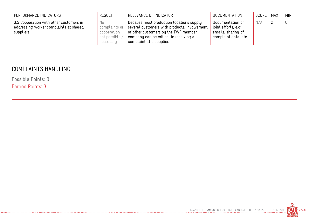| PERFORMANCE INDICATORS                                                                         | <b>RESULT</b>                                                      | RELEVANCE OF INDICATOR                                                                                                                                                                                         | DOCUMENTATION                                                                         | SCORE   MAX | <b>MIN</b>  |
|------------------------------------------------------------------------------------------------|--------------------------------------------------------------------|----------------------------------------------------------------------------------------------------------------------------------------------------------------------------------------------------------------|---------------------------------------------------------------------------------------|-------------|-------------|
| 3.5 Cooperation with other customers in<br>addressing worker complaints at shared<br>suppliers | No.<br>complaints or<br>cooperation<br>not possible /<br>necessary | Because most production locations supply<br>$^\top$ several customers with products, involvement<br>of other customers by the FWF member<br>company can be critical in resolving a<br>complaint at a supplier. | Documentation of<br>joint efforts, e.g.<br>emails, sharing of<br>complaint data, etc. | N/A         | $\mathbf 0$ |

### COMPLAINTS HANDLING

Possible Points: 9

Earned Points: 3

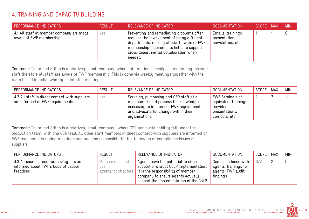### 4. TRAINING AND CAPACITY BUILDING

| PERFORMANCE INDICATORS                                               | <b>RESULT</b> | RELEVANCE OF INDICATOR                                                                                                                                                                                                                | DOCUMENTATION                                            | SCORE MAX | <b>MIN</b> |
|----------------------------------------------------------------------|---------------|---------------------------------------------------------------------------------------------------------------------------------------------------------------------------------------------------------------------------------------|----------------------------------------------------------|-----------|------------|
| 4.1 All staff at member company are made<br>aware of FWF membership. | Yes           | Preventing and remediating problems often<br>requires the involvement of many different<br>departments; making all staff aware of FWF<br>membership requirements helps to support<br>cross-departmental collaboration when<br>needed. | Emails, trainings,<br>presentation,<br>newsletters, etc. |           | 0          |

Comment: Tailor and Stitch is a relatively small company where information is easily shared among relevant staff therefore all staff are aware of FWF membership. This is done via weekly meetings together with the team based in India, who skype into the meetings.

| PERFORMANCE INDICATORS                                                              | <b>RESULT</b> | RELEVANCE OF INDICATOR                                                                                                                                                               | DOCUMENTATION                                                                                    | SCORE | <b>MAX</b> | <b>MIN</b> |
|-------------------------------------------------------------------------------------|---------------|--------------------------------------------------------------------------------------------------------------------------------------------------------------------------------------|--------------------------------------------------------------------------------------------------|-------|------------|------------|
| 4.2 All staff in direct contact with suppliers<br>are informed of FWF requirements. | Yes           | Sourcing, purchasing and CSR staff at a<br>minimum should possess the knowledge<br>necessary to implement FWF requirements<br>and advocate for change within their<br>organisations. | <b>FWF Seminars or</b><br>equivalent trainings<br>provided;<br>presentations,<br>curricula, etc. |       |            | $-$        |

Comment: Tailor and Stitch is a relatively small company, where CSR and sustainability fall under the production team, with one CSR lead. All other staff members in direct contact with suppliers are informed of FWF requirements during meetings and are also responsible for the follow up of compliance issues at suppliers.

| PERFORMANCE INDICATORS                                                                       | <b>RESULT</b>                                       | RELEVANCE OF INDICATOR                                                                                                                                                                               | DOCUMENTATION                                                                  | SCORE | MAX | <b>MIN</b> |
|----------------------------------------------------------------------------------------------|-----------------------------------------------------|------------------------------------------------------------------------------------------------------------------------------------------------------------------------------------------------------|--------------------------------------------------------------------------------|-------|-----|------------|
| 4.3 All sourcing contractors/agents are<br>informed about FWF's Code of Labour<br>Practices. | Member does not<br><b>USE</b><br>agents/contractors | Agents have the potential to either<br>support or disrupt CoLP implementation.<br>It is the responsibility of member<br>company to ensure agents actively<br>support the implementation of the CoLP. | Correspondence with<br>agents, trainings for<br>agents, FWF audit<br>findings. | N/A   |     |            |

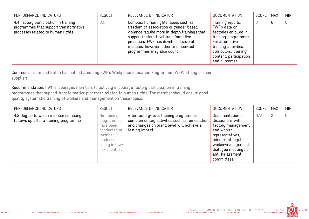| PERFORMANCE INDICATORS                                                                                                | <b>RESULT</b> | RELEVANCE OF INDICATOR                                                                                                                                                                                                                                                               | <b>DOCUMENTATION</b>                                                                                                                                                                              | SCORE | <b>MAX</b> | <b>MIN</b> |
|-----------------------------------------------------------------------------------------------------------------------|---------------|--------------------------------------------------------------------------------------------------------------------------------------------------------------------------------------------------------------------------------------------------------------------------------------|---------------------------------------------------------------------------------------------------------------------------------------------------------------------------------------------------|-------|------------|------------|
| 4.4 Factory participation in training<br>programmes that support transformative<br>processes related to human rights. | 0%            | Complex human rights issues such as<br>freedom of association or gender-based<br>violence require more in-depth trainings that<br>support factory-level transformative<br>processes. FWF has developed several<br>modules, however, other (member-led)<br>programmes may also count. | Training reports,<br>FWF's data on<br>factories enrolled in<br>training programmes.<br>For alternative<br>training activities:<br>curriculum, training<br>content, participation<br>and outcomes. | 0     | 6          | 0          |

Comment: Tailor and Stitch has not initiated any FWF's Workplace Education Programme (WEP) at any of their suppliers.

Recommendation: FWF encourages members to actively encourage factory participation in training programmes that support transformative processes related to human rights. The member should ensure good quality systematic training of workers and management on these topics.

| PERFORMANCE INDICATORS                                                       | <b>RESULT</b>                                                                                                    | RELEVANCE OF INDICATOR                                                                                                                                   | <b>DOCUMENTATION</b>                                                                                                                                                                              | SCORE | <b>MAX</b>     | <b>MIN</b> |
|------------------------------------------------------------------------------|------------------------------------------------------------------------------------------------------------------|----------------------------------------------------------------------------------------------------------------------------------------------------------|---------------------------------------------------------------------------------------------------------------------------------------------------------------------------------------------------|-------|----------------|------------|
| 4.5 Degree to which member company<br>follows up after a training programme. | No training<br>programmes<br>have been<br>conducted or<br>member<br>produces<br>solely in low-<br>risk countries | After factory-level training programmes,<br>complementary activities such as remediation<br>and changes on brand level will achieve a<br>lasting impact. | Documentation of<br>discussions with<br>factory management<br>and worker<br>representatives,<br>minutes of regular<br>worker-management<br>dialogue meetings or<br>anti-harassment<br>committees. | N/A   | $\overline{2}$ |            |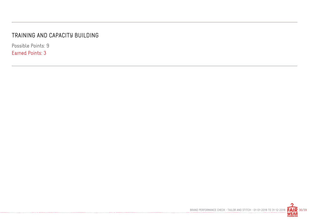#### TRAINING AND CAPACITY BUILDING

-----------------------------------

Possible Points: 9 Earned Points: 3

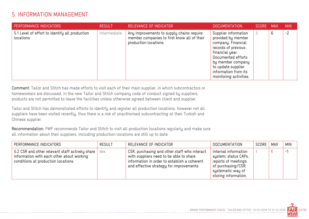#### 5. INFORMATION MANAGEMENT

| PERFORMANCE INDICATORS                                      | <b>RESULT</b> | RELEVANCE OF INDICATOR                                                                                            | <b>DOCUMENTATION</b>                                                                                                                                                                                                          | SCORE MAX |   | <b>MIN</b> |
|-------------------------------------------------------------|---------------|-------------------------------------------------------------------------------------------------------------------|-------------------------------------------------------------------------------------------------------------------------------------------------------------------------------------------------------------------------------|-----------|---|------------|
| 5.1 Level of effort to identify all production<br>locations | Intermediate  | Any improvements to supply chains require<br>member companies to first know all of their<br>production locations. | Supplier information<br>provided by member<br>company. Financial<br>records of previous<br>financial year.<br>Documented efforts<br>by member company<br>to update supplier<br>information from its<br>monitoring activities. | 3         | 6 | $-2$       |

Comment: Tailor and Stitch has made efforts to visit each of their main supplier, in which subcontractors or homeworkers are discussed. In the new Tailor and Stitch company code of conduct signed by suppliers, products are not permitted to leave the facilities unless otherwise agreed between client and supplier.

Tailor and Stitch has demonstrated efforts to identify and register all production locations, however not all suppliers have been visited recently, thus there is a risk of unauthorised subcontracting at their Turkish and Chinese supplier.

Recommendation: FWF recommends Tailor and Stitch to visit all production locations regularly and make sure all information about their suppliers, including production locations are still up to date.

| PERFORMANCE INDICATORS                                                                                                              | <b>RESULT</b> | RELEVANCE OF INDICATOR                                                                                                                                                              | DOCUMENTATION                                                                                                                          | SCORE | <b>MAX</b> | <b>MIN</b> |
|-------------------------------------------------------------------------------------------------------------------------------------|---------------|-------------------------------------------------------------------------------------------------------------------------------------------------------------------------------------|----------------------------------------------------------------------------------------------------------------------------------------|-------|------------|------------|
| 5.2 CSR and other relevant staff actively share<br>information with each other about working<br>conditions at production locations. | Yes           | CSR, purchasing and other staff who interact<br>with suppliers need to be able to share<br>information in order to establish a coherent<br>and effective strategy for improvements. | Internal information<br>system; status CAPs,<br>reports of meetings<br>of purchasing/CSR;<br>systematic way of<br>storing information. |       |            | $-$        |

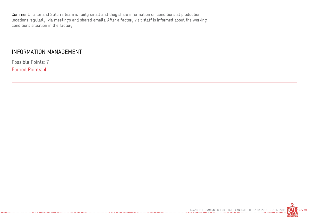Comment: Tailor and Stitch's team is fairly small and they share information on conditions at production locations regularly, via meetings and shared emails. After a factory visit staff is informed about the working conditions situation in the factory.

#### INFORMATION MANAGEMENT

Possible Points: 7 Earned Points: 4

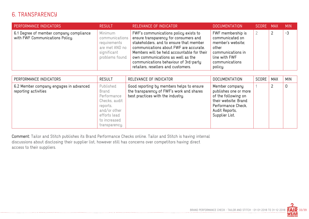#### 6. TRANSPARENCY

| PERFORMANCE INDICATORS                                                     | <b>RESULT</b>                                                                                  | RELEVANCE OF INDICATOR                                                                                                                                                                                                                                                                                                                 | <b>DOCUMENTATION</b>                                                                                                                  | SCORE MAX | <b>MIN</b> |
|----------------------------------------------------------------------------|------------------------------------------------------------------------------------------------|----------------------------------------------------------------------------------------------------------------------------------------------------------------------------------------------------------------------------------------------------------------------------------------------------------------------------------------|---------------------------------------------------------------------------------------------------------------------------------------|-----------|------------|
| 6.1 Degree of member company compliance<br>with FWF Communications Policy. | Minimum<br>communications  <br>requirements<br>are met AND no<br>significant<br>problems found | FWF's communications policy exists to<br>ensure transparency for consumers and<br>stakeholders, and to ensure that member<br>communications about FWF are accurate.<br>Members will be held accountable for their<br>own communications as well as the<br>communications behaviour of 3rd-party<br>retailers, resellers and customers. | FWF membership is<br>communicated on<br>member's website;<br>other<br>communications in<br>line with FWF<br>communications<br>policy. |           | $-3$       |

| PERFORMANCE INDICATORS                                         | <b>RESULT</b>                                                                                                                   | RELEVANCE OF INDICATOR                                                                                                      | <b>DOCUMENTATION</b>                                                                                                                             | SCORE | MAX | <b>MIN</b>  |
|----------------------------------------------------------------|---------------------------------------------------------------------------------------------------------------------------------|-----------------------------------------------------------------------------------------------------------------------------|--------------------------------------------------------------------------------------------------------------------------------------------------|-------|-----|-------------|
| 6.2 Member company engages in advanced<br>reporting activities | Published<br>Brand<br>Performance<br>Checks, audit<br>reports,<br>and/or other<br>efforts lead<br>to increased<br>transparency. | Good reporting by members helps to ensure<br>the transparency of FWF's work and shares<br>best practices with the industry. | Member company<br>publishes one or more<br>of the following on<br>their website: Brand<br>Performance Check,<br>Audit Reports,<br>Supplier List. |       | ∸   | $\mathbf 0$ |

Comment: Tailor and Stitch publishes its Brand Performance Checks online. Tailor and Stitch is having internal discussions about disclosing their supplier list, however still has concerns over competitors having direct access to their suppliers.

---------------------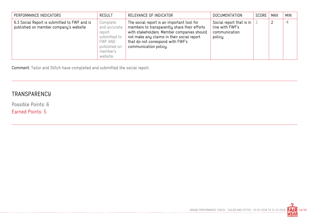| PERFORMANCE INDICATORS                                                                | <b>RESULT</b>                                                                                         | RELEVANCE OF INDICATOR                                                                                                                                                                                                                               | <b>DOCUMENTATION</b>                                                    | SCORE | <b>MAX</b> | <b>MIN</b> |
|---------------------------------------------------------------------------------------|-------------------------------------------------------------------------------------------------------|------------------------------------------------------------------------------------------------------------------------------------------------------------------------------------------------------------------------------------------------------|-------------------------------------------------------------------------|-------|------------|------------|
| 6.3 Social Report is submitted to FWF and is<br>published on member company's website | Complete<br>and accurate<br>report<br>submitted to<br>FWF AND<br>published on<br>member's<br>website. | The social report is an important tool for<br>members to transparently share their efforts<br>with stakeholders. Member companies should<br>not make any claims in their social report<br>that do not correspond with FWF's<br>communication policy. | Social report that is in<br>line with FWF's<br>communication<br>policy. |       |            | $-1$       |

Comment: Tailor and Stitch have completed and submitted the social report.

--------------

#### **TRANSPARENCY**

Possible Points: 6 Earned Points: 5

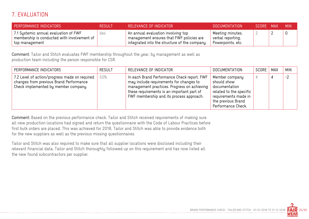## 7. EVALUATION

| PERFORMANCE INDICATORS                                                                                 | <b>RESULT</b> | RELEVANCE OF INDICATOR                                                                                                          | <b>DOCUMENTATION</b>                                       | SCORE MAX | <b>MIN</b> |
|--------------------------------------------------------------------------------------------------------|---------------|---------------------------------------------------------------------------------------------------------------------------------|------------------------------------------------------------|-----------|------------|
| 7.1 Systemic annual evaluation of FWF<br>membership is conducted with involvement of<br>top management | yes           | An annual evaluation involving top<br>management ensures that FWF policies are<br>integrated into the structure of the company. | Meeting minutes,<br>verbal reporting,<br>Powerpoints, etc. |           |            |

Comment: Tailor and Stitch evaluates FWF membership throughout the year, by management as well as production team including the person responsible for CSR.

| PERFORMANCE INDICATORS                                                                                                           | <b>RESULT</b> | RELEVANCE OF INDICATOR                                                                                                                                                                                                          | <b>DOCUMENTATION</b>                                                                                                                          | SCORE | MAX | <b>MIN</b> |
|----------------------------------------------------------------------------------------------------------------------------------|---------------|---------------------------------------------------------------------------------------------------------------------------------------------------------------------------------------------------------------------------------|-----------------------------------------------------------------------------------------------------------------------------------------------|-------|-----|------------|
| 7.2 Level of action/progress made on required<br>changes from previous Brand Performance<br>Check implemented by member company. | 50%           | In each Brand Performance Check report, FWF<br>may include requirements for changes to<br>management practices. Progress on achieving<br>these requirements is an important part of<br>FWF membership and its process approach. | Member company<br>should show<br>documentation<br>related to the specific<br>requirements made in<br>the previous Brand<br>Performance Check. |       | 4   | $-2$       |

Comment: Based on the previous performance check, Tailor and Stitch received requirements of making sure all new production locations had signed and return the questionnaire with the Code of Labour Practices before first bulk orders are placed. This was achieved for 2018, Tailor and Stitch was able to provide evidence both for the new suppliers as well as the previous missing questionnaires.

Tailor and Stitch was also required to make sure that all supplier locations were disclosed including their relevant financial data. Tailor and Stitch thoroughly followed up on this requirement and has now listed all the new found subcontractors per supplier.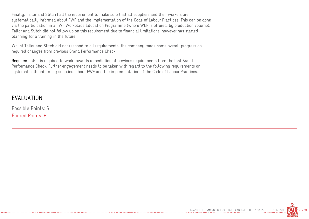Finally, Tailor and Stitch had the requirement to make sure that all suppliers and their workers are systematically informed about FWF and the implementation of the Code of Labour Practices. This can be done via the participation in a FWF Workplace Education Programme (where WEP is offered; by production volume). Tailor and Stitch did not follow up on this requirement due to financial limitations, however has started planning for a training in the future.

Whilst Tailor and Stitch did not respond to all requirements, the company made some overall progress on required changes from previous Brand Performance Check.

Requirement: It is required to work towards remediation of previous requirements from the last Brand Performance Check. Further engagement needs to be taken with regard to the following requirements on systematically informing suppliers about FWF and the implementation of the Code of Labour Practices.

#### EVALUATION

Possible Points: 6 Earned Points: 6

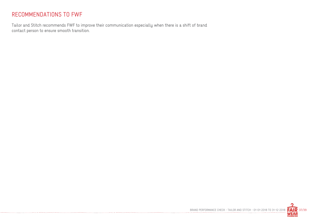#### RECOMMENDATIONS TO FWF

Tailor and Stitch recommends FWF to improve their communication especially when there is a shift of brand contact person to ensure smooth transition.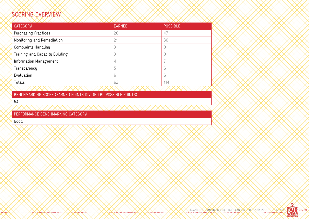## SCORING OVERVIEW

| <b>CATEGORY</b>                | <b>EARNED</b> | <b>POSSIBLE</b> |
|--------------------------------|---------------|-----------------|
| <b>Purchasing Practices</b>    | 20            | 47              |
| Monitoring and Remediation     | 21            | 30              |
| <b>Complaints Handling</b>     | 3             | 9               |
| Training and Capacity Building | 3             | 9               |
| Information Management         | 4             |                 |
| Transparency                   | 5             | 6               |
| Evaluation                     | 6             | 6               |
| Totals:                        | 62            | 114             |

BENCHMARKING SCORE (EARNED POINTS DIVIDED BY POSSIBLE POINTS)

54

PERFORMANCE BENCHMARKING CATEGORY

Good